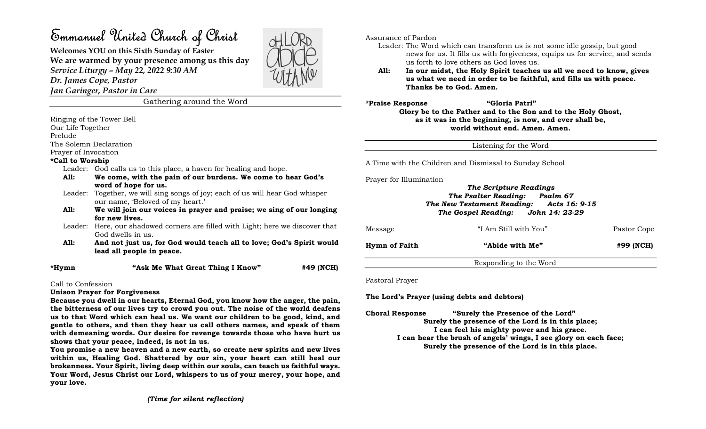# Emmanuel United Church of Christ

Welcomes YOU on this Sixth Sunday of Easter We are warmed by your presence among us this day Service Liturgy – May 22, 2022 9:30 AM Dr. James Cope, Pastor



Jan Garinger, Pastor in Care

Gathering around the Word

Ringing of the Tower Bell Our Life Together

Prelude

The Solemn Declaration

Prayer of Invocation

### \*Call to Worship

- Leader: God calls us to this place, a haven for healing and hope.
- All: We come, with the pain of our burdens. We come to hear God's word of hope for us.
- Leader: Together, we will sing songs of joy; each of us will hear God whisper our name, 'Beloved of my heart.'
- All: We will join our voices in prayer and praise; we sing of our longing for new lives.
- Leader: Here, our shadowed corners are filled with Light; here we discover that God dwells in us.
- All: And not just us, for God would teach all to love; God's Spirit would lead all people in peace.

| *Hymn | "Ask Me What Great Thing I Know" | #49 (NCH) |
|-------|----------------------------------|-----------|
|       |                                  |           |

## Call to Confession

## Unison Prayer for Forgiveness

Because you dwell in our hearts, Eternal God, you know how the anger, the pain, the bitterness of our lives try to crowd you out. The noise of the world deafens us to that Word which can heal us. We want our children to be good, kind, and gentle to others, and then they hear us call others names, and speak of them with demeaning words. Our desire for revenge towards those who have hurt us shows that your peace, indeed, is not in us.

You promise a new heaven and a new earth, so create new spirits and new lives within us, Healing God. Shattered by our sin, your heart can still heal our brokenness. Your Spirit, living deep within our souls, can teach us faithful ways. Your Word, Jesus Christ our Lord, whispers to us of your mercy, your hope, and your love.

Assurance of Pardon

- Leader: The Word which can transform us is not some idle gossip, but good news for us. It fills us with forgiveness, equips us for service, and sends us forth to love others as God loves us.
- All: In our midst, the Holy Spirit teaches us all we need to know, gives us what we need in order to be faithful, and fills us with peace. Thanks be to God. Amen.

## \*Praise Response "Gloria Patri"

Glory be to the Father and to the Son and to the Holy Ghost, as it was in the beginning, is now, and ever shall be, world without end. Amen. Amen.

Listening for the Word

A Time with the Children and Dismissal to Sunday School

Prayer for Illumination

### The Scripture Readings The Psalter Reading: Psalm 67 The New Testament Reading: Acts 16: 9-15 The Gospel Reading: John 14: 23-29

| Message              | "I Am Still with You"  | Pastor Cope |
|----------------------|------------------------|-------------|
| <b>Hymn of Faith</b> | "Abide with Me"        | #99 (NCH)   |
|                      | Responding to the Word |             |

Pastoral Prayer

The Lord's Prayer (using debts and debtors)

Choral Response "Surely the Presence of the Lord" Surely the presence of the Lord is in this place; I can feel his mighty power and his grace. I can hear the brush of angels' wings, I see glory on each face; Surely the presence of the Lord is in this place.